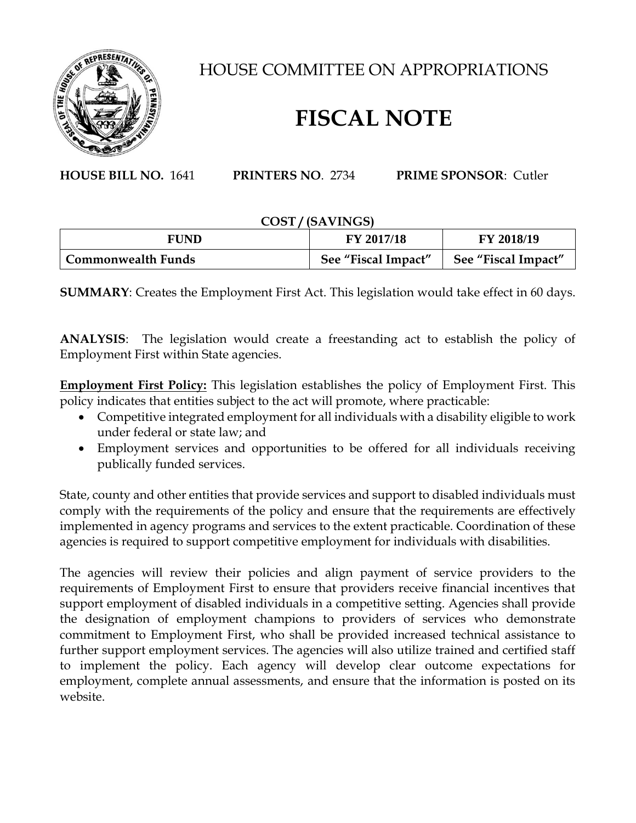

HOUSE COMMITTEE ON APPROPRIATIONS

# **FISCAL NOTE**

**HOUSE BILL NO.** 1641 **PRINTERS NO**. 2734 **PRIME SPONSOR**: Cutler

# **COST / (SAVINGS)**

| <b>FUND</b>        | FY 2017/18          | FY 2018/19          |
|--------------------|---------------------|---------------------|
| Commonwealth Funds | See "Fiscal Impact" | See "Fiscal Impact" |

**SUMMARY**: Creates the Employment First Act. This legislation would take effect in 60 days.

**ANALYSIS**: The legislation would create a freestanding act to establish the policy of Employment First within State agencies.

**Employment First Policy:** This legislation establishes the policy of Employment First. This policy indicates that entities subject to the act will promote, where practicable:

- Competitive integrated employment for all individuals with a disability eligible to work under federal or state law; and
- Employment services and opportunities to be offered for all individuals receiving publically funded services.

State, county and other entities that provide services and support to disabled individuals must comply with the requirements of the policy and ensure that the requirements are effectively implemented in agency programs and services to the extent practicable. Coordination of these agencies is required to support competitive employment for individuals with disabilities.

The agencies will review their policies and align payment of service providers to the requirements of Employment First to ensure that providers receive financial incentives that support employment of disabled individuals in a competitive setting. Agencies shall provide the designation of employment champions to providers of services who demonstrate commitment to Employment First, who shall be provided increased technical assistance to further support employment services. The agencies will also utilize trained and certified staff to implement the policy. Each agency will develop clear outcome expectations for employment, complete annual assessments, and ensure that the information is posted on its website.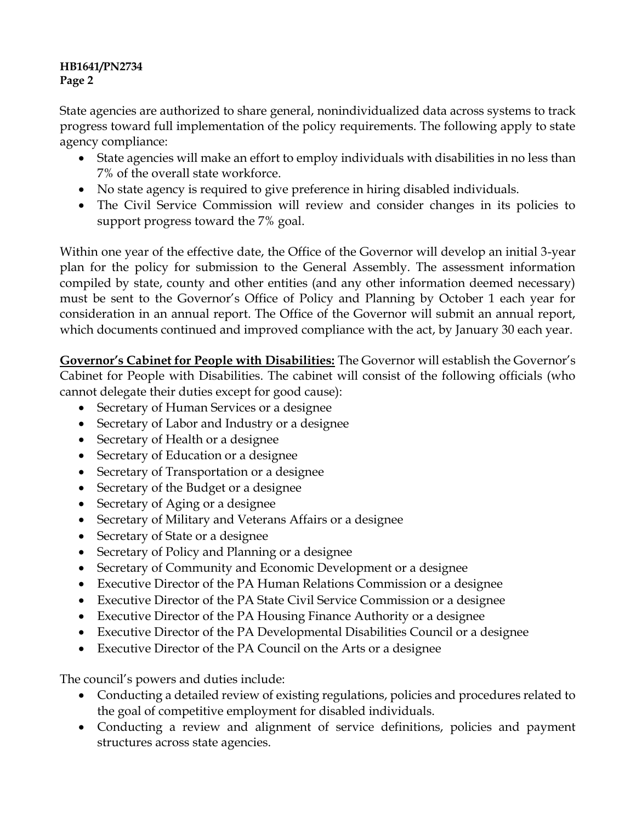State agencies are authorized to share general, nonindividualized data across systems to track progress toward full implementation of the policy requirements. The following apply to state agency compliance:

- State agencies will make an effort to employ individuals with disabilities in no less than 7% of the overall state workforce.
- No state agency is required to give preference in hiring disabled individuals.
- The Civil Service Commission will review and consider changes in its policies to support progress toward the 7% goal.

Within one year of the effective date, the Office of the Governor will develop an initial 3-year plan for the policy for submission to the General Assembly. The assessment information compiled by state, county and other entities (and any other information deemed necessary) must be sent to the Governor's Office of Policy and Planning by October 1 each year for consideration in an annual report. The Office of the Governor will submit an annual report, which documents continued and improved compliance with the act, by January 30 each year.

**Governor's Cabinet for People with Disabilities:** The Governor will establish the Governor's Cabinet for People with Disabilities. The cabinet will consist of the following officials (who cannot delegate their duties except for good cause):

- Secretary of Human Services or a designee
- Secretary of Labor and Industry or a designee
- Secretary of Health or a designee
- Secretary of Education or a designee
- Secretary of Transportation or a designee
- Secretary of the Budget or a designee
- Secretary of Aging or a designee
- Secretary of Military and Veterans Affairs or a designee
- Secretary of State or a designee
- Secretary of Policy and Planning or a designee
- Secretary of Community and Economic Development or a designee
- Executive Director of the PA Human Relations Commission or a designee
- Executive Director of the PA State Civil Service Commission or a designee
- Executive Director of the PA Housing Finance Authority or a designee
- Executive Director of the PA Developmental Disabilities Council or a designee
- Executive Director of the PA Council on the Arts or a designee

The council's powers and duties include:

- Conducting a detailed review of existing regulations, policies and procedures related to the goal of competitive employment for disabled individuals.
- Conducting a review and alignment of service definitions, policies and payment structures across state agencies.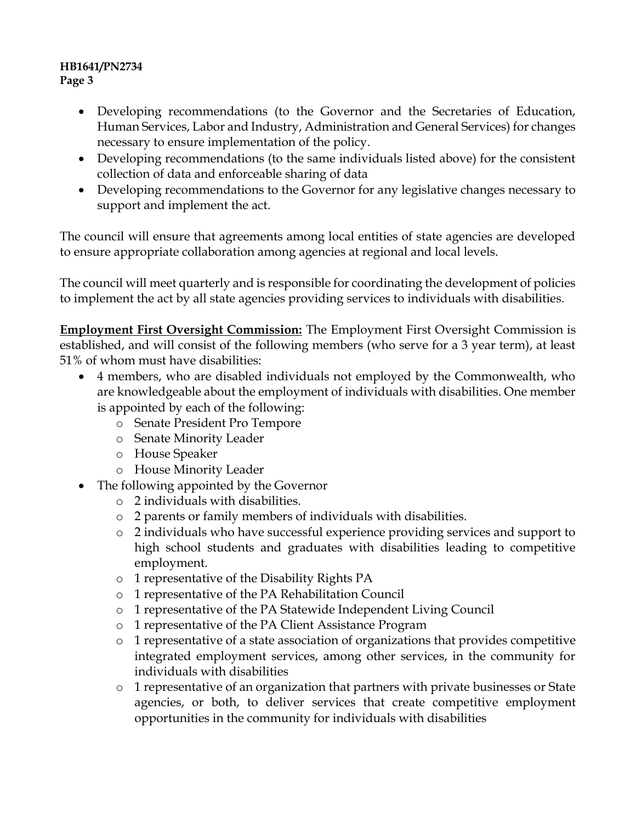- Developing recommendations (to the Governor and the Secretaries of Education, Human Services, Labor and Industry, Administration and General Services) for changes necessary to ensure implementation of the policy.
- Developing recommendations (to the same individuals listed above) for the consistent collection of data and enforceable sharing of data
- Developing recommendations to the Governor for any legislative changes necessary to support and implement the act.

The council will ensure that agreements among local entities of state agencies are developed to ensure appropriate collaboration among agencies at regional and local levels.

The council will meet quarterly and is responsible for coordinating the development of policies to implement the act by all state agencies providing services to individuals with disabilities.

**Employment First Oversight Commission:** The Employment First Oversight Commission is established, and will consist of the following members (who serve for a 3 year term), at least 51% of whom must have disabilities:

- 4 members, who are disabled individuals not employed by the Commonwealth, who are knowledgeable about the employment of individuals with disabilities. One member is appointed by each of the following:
	- o Senate President Pro Tempore
	- o Senate Minority Leader
	- o House Speaker
	- o House Minority Leader
- The following appointed by the Governor
	- o 2 individuals with disabilities.
	- o 2 parents or family members of individuals with disabilities.
	- o 2 individuals who have successful experience providing services and support to high school students and graduates with disabilities leading to competitive employment.
	- o 1 representative of the Disability Rights PA
	- o 1 representative of the PA Rehabilitation Council
	- o 1 representative of the PA Statewide Independent Living Council
	- o 1 representative of the PA Client Assistance Program
	- o 1 representative of a state association of organizations that provides competitive integrated employment services, among other services, in the community for individuals with disabilities
	- o 1 representative of an organization that partners with private businesses or State agencies, or both, to deliver services that create competitive employment opportunities in the community for individuals with disabilities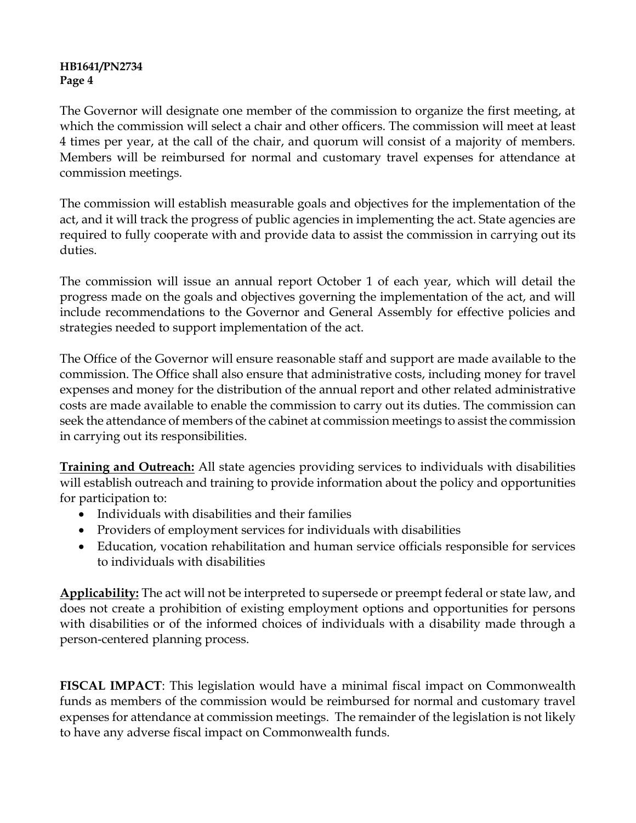The Governor will designate one member of the commission to organize the first meeting, at which the commission will select a chair and other officers. The commission will meet at least 4 times per year, at the call of the chair, and quorum will consist of a majority of members. Members will be reimbursed for normal and customary travel expenses for attendance at commission meetings.

The commission will establish measurable goals and objectives for the implementation of the act, and it will track the progress of public agencies in implementing the act. State agencies are required to fully cooperate with and provide data to assist the commission in carrying out its duties.

The commission will issue an annual report October 1 of each year, which will detail the progress made on the goals and objectives governing the implementation of the act, and will include recommendations to the Governor and General Assembly for effective policies and strategies needed to support implementation of the act.

The Office of the Governor will ensure reasonable staff and support are made available to the commission. The Office shall also ensure that administrative costs, including money for travel expenses and money for the distribution of the annual report and other related administrative costs are made available to enable the commission to carry out its duties. The commission can seek the attendance of members of the cabinet at commission meetings to assist the commission in carrying out its responsibilities.

**Training and Outreach:** All state agencies providing services to individuals with disabilities will establish outreach and training to provide information about the policy and opportunities for participation to:

- Individuals with disabilities and their families
- Providers of employment services for individuals with disabilities
- Education, vocation rehabilitation and human service officials responsible for services to individuals with disabilities

**Applicability:** The act will not be interpreted to supersede or preempt federal or state law, and does not create a prohibition of existing employment options and opportunities for persons with disabilities or of the informed choices of individuals with a disability made through a person-centered planning process.

**FISCAL IMPACT**: This legislation would have a minimal fiscal impact on Commonwealth funds as members of the commission would be reimbursed for normal and customary travel expenses for attendance at commission meetings. The remainder of the legislation is not likely to have any adverse fiscal impact on Commonwealth funds.